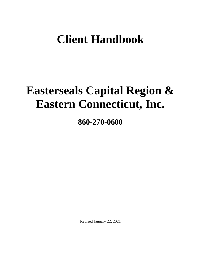# **Client Handbook**

# **Easterseals Capital Region & Eastern Connecticut, Inc.**

**860-270-0600**

Revised January 22, 2021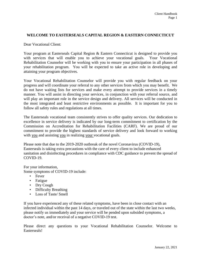## **WELCOME TO EASTERSEALS CAPITAL REGION & EASTERN CONNECTICUT**

Dear Vocational Client:

Your program at Easterseals Capital Region & Eastern Connecticut is designed to provide you with services that will enable you to achieve your vocational goals. Your Vocational Rehabilitation Counselor will be working with you to ensure your participation in all phases of your rehabilitation program. You will be expected to take an active role in developing and attaining your program objectives.

Your Vocational Rehabilitation Counselor will provide you with regular feedback on your progress and will coordinate your referral to any other services from which you may benefit. We do not have waiting lists for services and make every attempt to provide services in a timely manner. You will assist in directing your services, in conjunction with your referral source, and will play an important role in the service design and delivery. All services will be conducted in the most integrated and least restrictive environments as possible. It is important for you to follow all safety rules and regulations at all times.

The Easterseals vocational team consistently strives to offer quality services. Our dedication to excellence in service delivery is indicated by our long-term commitment to certification by the Commission on Accreditation for Rehabilitation Facilities (CARF). We are proud of our commitment to provide the highest standards of service delivery and look forward to working with you and assisting you in realizing your vocational goals.

Please note that due to the 2019-2020 outbreak of the novel Coronavirus (COVID-19), Easterseals is taking extra precautions with the care of every client to include enhanced sanitation and disinfecting procedures in compliance with CDC guidance to prevent the spread of COVID-19.

For your information,

Some symptoms of COVID-19 include:

- Fever
- Fatigue
- Dry Cough
- Difficulty Breathing
- Loss of Taste/ Smell

If you have experienced any of these related symptoms, have been in close contact with an infected individual within the past 14 days, or traveled out of the state within the last two weeks, please notify us immediately and your service will be pended upon subsided symptoms, a doctor's note, and/or receival of a negative COVID-19 test.

Please direct any questions to your Vocational Rehabilitation Counselor. Welcome to Easterseals!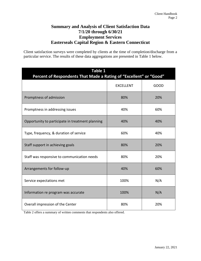# **Summary and Analysis of Client Satisfaction Data 7/1/20 through 6/30/21 Employment Services Easterseals Capital Region & Eastern Connecticut**

Client satisfaction surveys were completed by clients at the time of completion/discharge from a particular service. The results of these data aggregations are presented in Table 1 below.

| Table 1<br>Percent of Respondents That Made a Rating of "Excellent" or "Good" |                  |             |
|-------------------------------------------------------------------------------|------------------|-------------|
|                                                                               | <b>EXCELLENT</b> | <b>GOOD</b> |
| Promptness of admission                                                       | 80%              | 20%         |
| Promptness in addressing issues                                               | 40%              | 60%         |
| Opportunity to participate in treatment planning                              | 40%              | 40%         |
| Type, frequency, & duration of service                                        | 60%              | 40%         |
| Staff support in achieving goals                                              | 80%              | 20%         |
| Staff was responsive to communication needs                                   | 80%              | 20%         |
| Arrangements for follow-up                                                    | 40%              | 60%         |
| Service expectations met                                                      | 100%             | N/A         |
| Information re program was accurate                                           | 100%             | N/A         |
| Overall impression of the Center                                              | 80%              | 20%         |

Table 2 offers a summary of written comments that respondents also offered.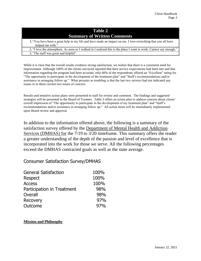# **Table 2 Summary of Written Comments**

1."You have been a great help in my life and have made an impact on me. I love everything that you all have helped me with." 2. "I love the atmosphere. As soon as I walked in I realized this is the place I want to work. Cannot say enough."

3. "The staff was great and helpful"

While it is clear that the overall results evidence strong satisfaction, we realize that there is a consistent need for improvement. Although 100% of the clients surveyed reported that their service expectations had been met and that information regarding the program had been accurate, only 60% of the respondents offered an "Excellent" rating for "The opportunity to participate in the development of the treatment plan" and "Staff's recommendations and/or assistance in arranging follow up." What presents as troubling is that the last two surveys had not indicated any issues in in these current two issues of concern.

Results and tentative action plans were presented to staff for review and comment. The findings and suggested strategies will be presented to the Board of Trustees. Table 3 offers an action plan to address concern about clients' overall impression of "The opportunity to participate in the development of my treatment plan" and "Staff's recommendations and/or assistance in arranging follow up." All action items will be immediately implemented upon Board review and approval.

In addition to the information offered above, the following is a summary of the satisfaction survey offered by the Department of Mental Health and Addiction Services (DMHAS) for the 7/19 to 3/20 timeframe. This summary offers the reader a greater understanding of the depth of the passion and level of excellence that is incorporated into the work for those we serve. All the following percentages exceed the DMHAS contracted goals as well as the state average.

# Consumer Satisfaction Survey/DMHAS

| <b>General Satisfaction</b> | 100% |
|-----------------------------|------|
| Respect                     | 100% |
| <b>Access</b>               | 100% |
| Participation in Treatment  | 98%  |
| Overall                     | 98%  |
| <b>Recovery</b>             | 97%  |
| Outcome                     | 97%  |

### **Mission and Philosophy**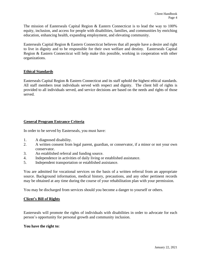The mission of Easterseals Capital Region & Eastern Connecticut is to lead the way to 100% equity, inclusion, and access for people with disabilities, families, and communities by enriching education, enhancing health, expanding employment, and elevating community.

Easterseals Capital Region & Eastern Connecticut believes that all people have a desire and right to live in dignity and to be responsible for their own welfare and destiny. Easterseals Capital Region & Eastern Connecticut will help make this possible, working in cooperation with other organizations.

# **Ethical Standards**

Easterseals Capital Region & Eastern Connecticut and its staff uphold the highest ethical standards. All staff members treat individuals served with respect and dignity. The client bill of rights is provided to all individuals served, and service decisions are based on the needs and rights of those served.

# **General Program Entrance Criteria**

In order to be served by Easterseals, you must have:

- 1. A diagnosed disability.
- 2. A written consent from legal parent, guardian, or conservator, if a minor or not your own conservator.
- 3. An established referral and funding source.
- 4. Independence in activities of daily living or established assistance.
- 5. Independent transportation or established assistance.

You are admitted for vocational services on the basis of a written referral from an appropriate source. Background information, medical history, precautions, and any other pertinent records may be obtained at any time during the course of your rehabilitation plan with your permission.

You may be discharged from services should you become a danger to yourself or others.

### **Client's Bill of Rights**

Easterseals will promote the rights of individuals with disabilities in order to advocate for each person's opportunity for personal growth and community inclusion.

#### **You have the right to:**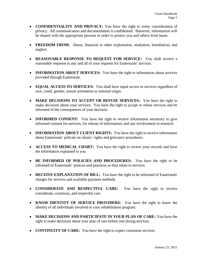- **CONFIDENTIALITY AND PRIVACY:** You have the right to every consideration of privacy. All communication and documentation is confidential. However, information will be shared with the appropriate persons in order to protect you and others from harm.
- **FREEDOM FROM:** Abuse, financial or other exploitation, retaliation, humiliation, and neglect.
- **REASONABLE RESPONSE TO REQUEST FOR SERVICE:** You shall receive a reasonable response to any and all of your requests for Easterseals' services.
- **INFORMATION ABOUT SERVICES:** You have the right to information about services provided through Easterseals.
- **EQUAL ACCESS TO SERVICES:** You shall have equal access to services regardless of race, creed, gender, sexual orientation or national origin.
- **MAKE DECISIONS TO ACCEPT OR REFUSE SERVICES:** You have the right to make decisions about your services. You have the right to accept or refuse services and be informed of the consequences of your decision.
- **INFORMED CONSENT:** You have the right to receive information necessary to give informed consent for services, for release of information, and any involvement in research.
- **INFORMATION ABOUT CLIENT RIGHTS:** You have the right to receive information about Easterseals' policies on clients' rights and grievance procedures.
- **ACCESS TO MEDICAL CHART:** You have the right to review your records and have the information explained to you.
- **BE INFORMED OF POLICIES AND PROCEDURES:** You have the right to be informed of Easterseals' policies and practices as they relate to services.
- **RECEIVE EXPLANATION OF BILL:** You have the right to be informed of Easterseals' charges for services and available payment methods.
- **CONSIDERATE AND RESPECTFUL CARE:** You have the right to receive considerate, courteous, and respectful care.
- **KNOW IDENTITY OF SERVICE PROVIDERS:** You have the right to know the identity of all individuals involved in your rehabilitation program.
- **MAKE DECISIONS AND PARTICIPATE IN YOUR PLAN OF CARE:** You have the right to make decisions about your plan of care before and during services.
- **CONTINUITY OF CARE:** You have the right to expect consistent services.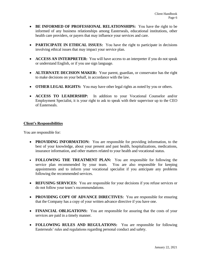- **BE INFORMED OF PROFESSIONAL RELATIONSHIPS:** You have the right to be informed of any business relationships among Easterseals, educational institutions, other health care providers, or payers that may influence your services and care.
- **PARTICIPATE IN ETHICAL ISSUES:** You have the right to participate in decisions involving ethical issues that may impact your service plan.
- **ACCESS AN INTERPRETER:** You will have access to an interpreter if you do not speak or understand English, or if you use sign language.
- **ALTERNATE DECISION MAKER:** Your parent, guardian, or conservator has the right to make decisions on your behalf, in accordance with the law.
- **OTHER LEGAL RIGHTS:** You may have other legal rights as noted by you or others.
- **ACCESS TO LEADERSHIP:** In addition to your Vocational Counselor and/or Employment Specialist, it is your right to ask to speak with their supervisor up to the CEO of Easterseals.

### **Client's Responsibilities**

You are responsible for:

- **PROVIDING INFORMATION:** You are responsible for providing information, to the best of your knowledge, about your present and past health, hospitalizations, medications, insurance information, and other matters related to your health and vocational status.
- **FOLLOWING THE TREATMENT PLAN:** You are responsible for following the service plan recommended by your team. You are also responsible for keeping appointments and to inform your vocational specialist if you anticipate any problems following the recommended services.
- **REFUSING SERVICES:** You are responsible for your decisions if you refuse services or do not follow your team's recommendations.
- **PROVIDING COPY OF ADVANCE DIRECTIVES:** You are responsible for ensuring that the Company has a copy of your written advance directive if you have one.
- **FINANCIAL OBLIGATIONS:** You are responsible for assuring that the costs of your services are paid in a timely manner.
- **FOLLOWING RULES AND REGULATIONS:** You are responsible for following Easterseals' rules and regulations regarding personal conduct and safety.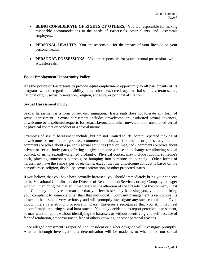- **BEING CONSIDERATE OF RIGHTS OF OTHERS:** You are responsible for making reasonable accommodations to the needs of Easterseals, other clients, and Easterseals employees.
- **PERSONAL HEALTH:** You are responsible for the impact of your lifestyle on your personal health.
- **PERSONAL POSSESSIONS:** You are responsible for your personal possessions while at Easterseals.

# **Equal Employment Opportunity Policy**

It is the policy of Easterseals to provide equal employment opportunity to all participants of its programs without regard to disability, race, color, sex, creed, age, marital status, veteran status, national origin, sexual orientation, religion, ancestry, or political affiliation.

### **Sexual Harassment Policy**

Sexual harassment is a form of sex discrimination. Easterseals does not tolerate any form of sexual harassment. Sexual harassment includes unwelcome or unsolicited sexual advances, unwelcome or unsolicited requests for sexual favors, and other unwelcome or unsolicited verbal or physical contact or conduct of a sexual nature.

Examples of sexual harassment include, but are not limited to, deliberate, repeated making of unwelcome or unsolicited gestures, comments, or jokes. Comments or jokes may include comments or jokes about a person's sexual activities (real or imagined), comments or jokes about private or sexual body parts, offering to give someone a raise in exchange for allowing sexual contact, or using sexually-oriented profanity. Physical contact may include rubbing someone's back, pinching someone's buttocks, or bumping into someone deliberately. Other forms of harassment have the same types of elements, except that the unwelcome conduct is based on the person's race, religion, disability, sexual orientation, or other protected status.

If you believe that you have been sexually harassed, you should immediately bring your concern to the Vocational Coordinator, the Director of Rehabilitation Services, or any Company manager who will then bring the matter immediately to the attention of the President of the company. If it is a Company employee or manager that you feel is sexually harassing you, you should bring your complaint to someone other than that individual. Company management takes complaints of sexual harassment very seriously and will promptly investigate any such complaints. Even though there is a strong procedure in place, Easterseals recognizes that you still may feel uncomfortable reporting sexual harassment. You may decide not to report perceived harassment, or may want to report without identifying the harasser, or without identifying yourself because of fear of retaliation, embarrassment, fear of others knowing, or other personal reasons.

Once alleged harassment is reported, the President or his/her designee will investigate promptly. After a thorough investigation, a determination will be made as to whether or not sexual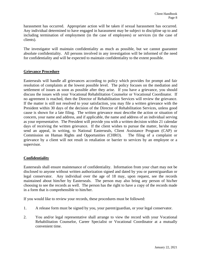harassment has occurred. Appropriate action will be taken if sexual harassment has occurred. Any individual determined to have engaged in harassment may be subject to discipline up to and including termination of employment (in the case of employees) or services (in the case of clients).

The investigator will maintain confidentiality as much as possible, but we cannot guarantee absolute confidentiality. All persons involved in any investigation will be informed of the need for confidentiality and will be expected to maintain confidentiality to the extent possible.

# **Grievance Procedure**

Easterseals will handle all grievances according to policy which provides for prompt and fair resolution of complaints at the lowest possible level. The policy focuses on the mediation and settlement of issues as soon as possible after they arise. If you have a grievance, you should discuss the issues with your Vocational Rehabilitation Counselor or Vocational Coordinator. If no agreement is reached, then the Director of Rehabilitation Services will review the grievance. If the matter is still not resolved to your satisfaction, you may file a written grievance with the President within 30 days of the decision of the Director of Rehabilitation Services, unless good cause is shown for a late filing. The written grievance must describe the action or situation of concern, your name and address, and if applicable, the name and address of an individual serving as your representative. The President will provide you with a written decision within 21 calendar days of receiving the written grievance. If the client wishes to pursue the matter, he/she may send an appeal, in writing, to National Easterseals, Client Assistance Program (CAP) or Commission on Human Rights and Opportunities (CHRO). The filing of a complaint or grievance by a client will not result in retaliation or barrier to services by an employee or a supervisor.

### **Confidentiality**

Easterseals shall ensure maintenance of confidentiality. Information from your chart may not be disclosed to anyone without written authorization signed and dated by you or parent/guardian or legal conservator. Any individual over the age of 18 may, upon request, see the records maintained about him/her by Easterseals. The person may also bring any person of his/her choosing to see the records as well. The person has the right to have a copy of the records made in a form that is comprehensible to him/her.

If you would like to review your records, these procedures must be followed:

- 1. A release form must be signed by you, your parent/guardian, or your legal conservator.
- 2. You and/or legal representative shall arrange to view the record with your Vocational Rehabilitation Counselor, Career Specialist or Vocational Coordinator at a mutually convenient time.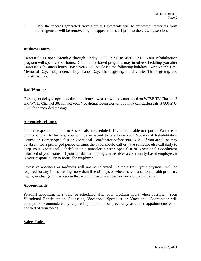3. Only the records generated from staff at Easterseals will be reviewed; materials from other agencies will be removed by the appropriate staff prior to the viewing session.

### **Business Hours**

Easterseals is open Monday through Friday, 8:00 A.M. to 4:30 P.M. Your rehabilitation program will specify your hours. Community-based programs may involve scheduling you after Easterseals' business hours. Easterseals will be closed the following holidays: New Year's Day, Memorial Day, Independence Day, Labor Day, Thanksgiving, the day after Thanksgiving, and Christmas Day.

#### **Bad Weather**

Closings or delayed openings due to inclement weather will be announced on WFSB TV Channel 3 and WVIT Channel 30, contact your Vocational Counselor, or you may call Easterseals at 860-270- 0600 for a recorded message.

#### **Absenteeism/Illness**

You are expected to report to Easterseals as scheduled. If you are unable to report to Easterseals or if you plan to be late, you will be expected to telephone your Vocational Rehabilitation Counselor, Career Specialist or Vocational Coordinator before 9:00 A.M. If you are ill or may be absent for a prolonged period of time, then you should call or have someone else call daily to keep your Vocational Rehabilitation Counselor, Career Specialist or Vocational Coordinator informed of your status. If your rehabilitation program involves a community-based employer, it is your responsibility to notify the employer.

Excessive absences or tardiness will not be tolerated. A note from your physician will be required for any illness lasting more than five (5) days or when there is a serious health problem, injury, or change in medication that would impact your performance or participation.

#### **Appointments**

Personal appointments should be scheduled after your program hours when possible. Your Vocational Rehabilitation Counselor, Vocational Specialist or Vocational Coordinator will attempt to accommodate any required appointments or previously scheduled appointments when notified of your needs.

### **Safety Rules**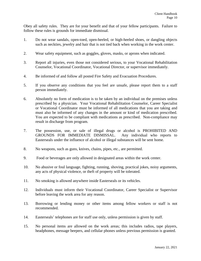Obey all safety rules. They are for your benefit and that of your fellow participants. Failure to follow these rules is grounds for immediate dismissal.

- 1. Do not wear sandals, open-toed, open-heeled, or high-heeled shoes, or dangling objects such as neckties, jewelry and hair that is not tied back when working in the work center.
- 2. Wear safety equipment, such as goggles, gloves, masks, or aprons when indicated.
- 3. Report all injuries, even those not considered serious, to your Vocational Rehabilitation Counselor, Vocational Coordinator, Vocational Director, or supervisor immediately.
- 4. Be informed of and follow all posted Fire Safety and Evacuation Procedures.
- 5. If you observe any conditions that you feel are unsafe, please report them to a staff person immediately.
- 6. Absolutely no form of medication is to be taken by an individual on the premises unless prescribed by a physician. Your Vocational Rehabilitation Counselor, Career Specialist or Vocational Coordinator must be informed of all medications that you are taking and must also be informed of any changes in the amount or kind of medication prescribed. You are expected to be compliant with medications as prescribed. Non-compliance may result in discharge from program.
- 7. The possession, use, or sale of illegal drugs or alcohol is PROHIBITED AND GROUNDS FOR IMMEDIATE DISMISSAL. Any individual who reports to Easterseals under the influence of alcohol or illegal substances will be sent home.
- 8. No weapons, such as guns, knives, chains, pipes, etc., are permitted.
- 9. Food or beverages are only allowed in designated areas within the work center.
- 10. No abusive or foul language, fighting, running, shoving, practical jokes, noisy arguments, any acts of physical violence, or theft of property will be tolerated.
- 11. No smoking is allowed anywhere inside Easterseals or its vehicles.
- 12. Individuals must inform their Vocational Coordinator, Career Specialist or Supervisor before leaving the work area for any reason.
- 13. Borrowing or lending money or other items among fellow workers or staff is not recommended.
- 14. Easterseals' telephones are for staff use only, unless permission is given by staff.
- 15. No personal items are allowed on the work areas; this includes radios, tape players, headphones, message beepers, and cellular phones unless previous permission is granted.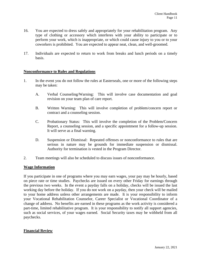- 16. You are expected to dress safely and appropriately for your rehabilitation program. Any type of clothing or accessory which interferes with your ability to participate or to perform your work, which is inappropriate, or which could cause injury to you or to your coworkers is prohibited. You are expected to appear neat, clean, and well-groomed.
- 17. Individuals are expected to return to work from breaks and lunch periods on a timely basis.

#### **Nonconformance to Rules and Regulations**

- 1. In the event you do not follow the rules at Easterseals, one or more of the following steps may be taken:
	- A. Verbal Counseling/Warning: This will involve case documentation and goal revision on your team plan of care report.
	- B. Written Warning: This will involve completion of problem/concern report or contract and a counseling session.
	- C. Probationary Status: This will involve the completion of the Problem/Concern Report, a counseling session, and a specific appointment for a follow-up session. It will serve as a final warning.
	- D. Suspension or Dismissal: Repeated offenses or nonconformance to rules that are serious in nature may be grounds for immediate suspension or dismissal. Authority for termination is vested in the Program Director.
- 2. Team meetings will also be scheduled to discuss issues of nonconformance.

#### **Wage Information**

If you participate in one of programs where you may earn wages, your pay may be hourly, based on piece rate or time studies. Paychecks are issued on every other Friday for earnings through the previous two weeks. In the event a payday falls on a holiday, checks will be issued the last working day before the holiday. If you do not work on a payday, then your check will be mailed to your home address unless other arrangements are made. It is your responsibility to inform your Vocational Rehabilitation Counselor, Career Specialist or Vocational Coordinator of a change of address. No benefits are earned in these programs as the work activity is considered a part-time, limited rehabilitative program. It is your responsibility to notify all support agencies, such as social services, of your wages earned. Social Security taxes may be withheld from all paychecks.

### **Financial Review**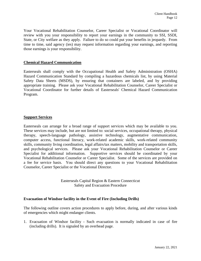Your Vocational Rehabilitation Counselor, Career Specialist or Vocational Coordinator will review with you your responsibility to report your earnings in the community to SSI, SSDI, State, or City welfare as they apply. Failure to do so could put your benefits in jeopardy. From time to time, said agency (ies) may request information regarding your earnings, and reporting those earnings is your responsibility.

#### **Chemical Hazard Communication**

Easterseals shall comply with the Occupational Health and Safety Administration (OSHA) Hazard Communication Standard by compiling a hazardous chemicals list, by using Material Safety Data Sheets (MSDS), by ensuring that containers are labeled, and by providing appropriate training. Please ask your Vocational Rehabilitation Counselor, Career Specialist or Vocational Coordinator for further details of Easterseals' Chemical Hazard Communication Program.

#### **Support Services**

Easterseals can arrange for a broad range of support services which may be available to you. These services may include, but are not limited to: social services, occupational therapy, physical therapy, speech-language pathology, assistive technology, augmentative communication, computer access, functional literacy, work-related academic skills, work-related community skills, community living coordination, legal affairs/tax matters, mobility and transportation skills, and psychological services. Please ask your Vocational Rehabilitation Counselor or Career Specialist for additional information. Supportive services should be coordinated by your Vocational Rehabilitation Counselor or Career Specialist. Some of the services are provided on a fee for service basis. You should direct any questions to your Vocational Rehabilitation Counselor, Career Specialist or the Vocational Director.

> Easterseals Capital Region & Eastern Connecticut Safety and Evacuation Procedure

### **Evacuation of Windsor facility in the Event of Fire (Including Drills)**

The following outline covers action procedures to apply before, during, and after various kinds of emergencies which might endanger clients.

1. Evacuation of Windsor facility - Such evacuation is normally indicated in case of fire (including drills). It is signaled by an overhead page.